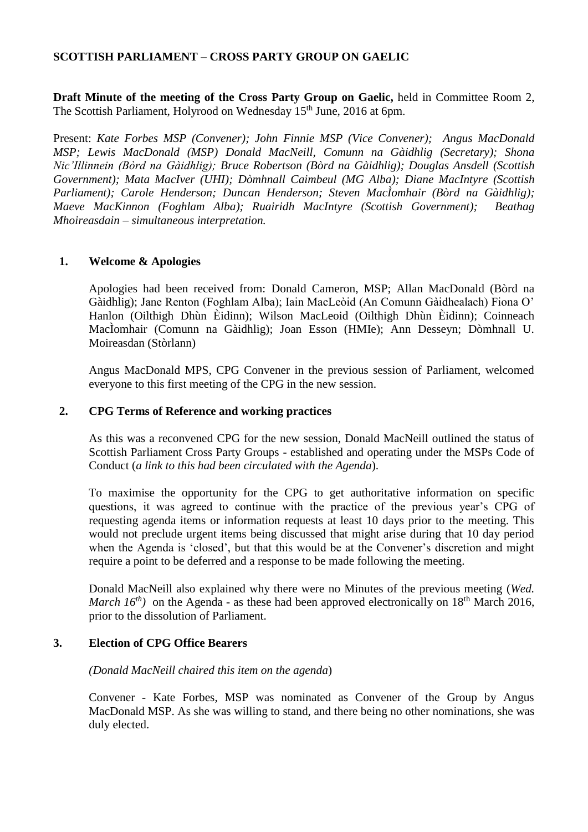### **SCOTTISH PARLIAMENT – CROSS PARTY GROUP ON GAELIC**

**Draft Minute of the meeting of the Cross Party Group on Gaelic,** held in Committee Room 2, The Scottish Parliament, Holyrood on Wednesday 15<sup>th</sup> June, 2016 at 6pm.

Present: *Kate Forbes MSP (Convener); John Finnie MSP (Vice Convener); Angus MacDonald MSP; Lewis MacDonald (MSP) Donald MacNeill, Comunn na Gàidhlig (Secretary); Shona Nic'Illinnein (Bòrd na Gàidhlig); Bruce Robertson (Bòrd na Gàidhlig); Douglas Ansdell (Scottish Government); Mata MacIver (UHI); Dòmhnall Caimbeul (MG Alba); Diane MacIntyre (Scottish Parliament); Carole Henderson; Duncan Henderson; Steven MacÌomhair (Bòrd na Gàidhlig); Maeve MacKinnon (Foghlam Alba); Ruairidh MacIntyre (Scottish Government); Beathag Mhoireasdain – simultaneous interpretation.*

#### **1. Welcome & Apologies**

Apologies had been received from: Donald Cameron, MSP; Allan MacDonald (Bòrd na Gàidhlig); Jane Renton (Foghlam Alba); Iain MacLeòid (An Comunn Gàidhealach) Fiona O' Hanlon (Oilthigh Dhùn Èidinn); Wilson MacLeoid (Oilthigh Dhùn Èidinn); Coinneach MacÌomhair (Comunn na Gàidhlig); Joan Esson (HMIe); Ann Desseyn; Dòmhnall U. Moireasdan (Stòrlann)

Angus MacDonald MPS, CPG Convener in the previous session of Parliament, welcomed everyone to this first meeting of the CPG in the new session.

### **2. CPG Terms of Reference and working practices**

As this was a reconvened CPG for the new session, Donald MacNeill outlined the status of Scottish Parliament Cross Party Groups - established and operating under the MSPs Code of Conduct (*a link to this had been circulated with the Agenda*).

To maximise the opportunity for the CPG to get authoritative information on specific questions, it was agreed to continue with the practice of the previous year's CPG of requesting agenda items or information requests at least 10 days prior to the meeting. This would not preclude urgent items being discussed that might arise during that 10 day period when the Agenda is 'closed', but that this would be at the Convener's discretion and might require a point to be deferred and a response to be made following the meeting.

Donald MacNeill also explained why there were no Minutes of the previous meeting (*Wed. March*  $16^{th}$ ) on the Agenda - as these had been approved electronically on  $18^{th}$  March 2016, prior to the dissolution of Parliament.

#### **3. Election of CPG Office Bearers**

*(Donald MacNeill chaired this item on the agenda*)

Convener - Kate Forbes, MSP was nominated as Convener of the Group by Angus MacDonald MSP. As she was willing to stand, and there being no other nominations, she was duly elected.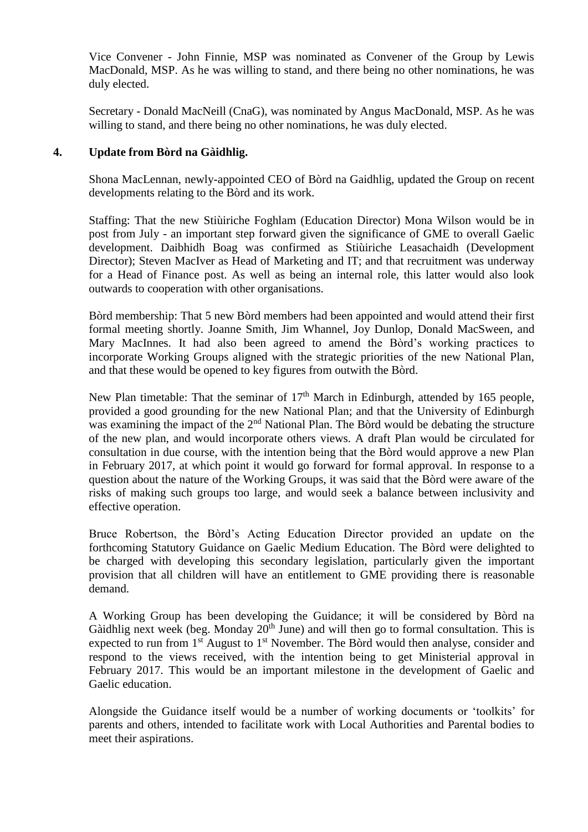Vice Convener - John Finnie, MSP was nominated as Convener of the Group by Lewis MacDonald, MSP. As he was willing to stand, and there being no other nominations, he was duly elected.

Secretary - Donald MacNeill (CnaG), was nominated by Angus MacDonald, MSP. As he was willing to stand, and there being no other nominations, he was duly elected.

### **4. Update from Bòrd na Gàidhlig.**

Shona MacLennan, newly-appointed CEO of Bòrd na Gaidhlig, updated the Group on recent developments relating to the Bòrd and its work.

Staffing: That the new Stiùiriche Foghlam (Education Director) Mona Wilson would be in post from July - an important step forward given the significance of GME to overall Gaelic development. Daibhidh Boag was confirmed as Stiùiriche Leasachaidh (Development Director); Steven MacIver as Head of Marketing and IT; and that recruitment was underway for a Head of Finance post. As well as being an internal role, this latter would also look outwards to cooperation with other organisations.

Bòrd membership: That 5 new Bòrd members had been appointed and would attend their first formal meeting shortly. Joanne Smith, Jim Whannel, Joy Dunlop, Donald MacSween, and Mary MacInnes. It had also been agreed to amend the Bòrd's working practices to incorporate Working Groups aligned with the strategic priorities of the new National Plan, and that these would be opened to key figures from outwith the Bòrd.

New Plan timetable: That the seminar of  $17<sup>th</sup>$  March in Edinburgh, attended by 165 people, provided a good grounding for the new National Plan; and that the University of Edinburgh was examining the impact of the 2<sup>nd</sup> National Plan. The Bòrd would be debating the structure of the new plan, and would incorporate others views. A draft Plan would be circulated for consultation in due course, with the intention being that the Bòrd would approve a new Plan in February 2017, at which point it would go forward for formal approval. In response to a question about the nature of the Working Groups, it was said that the Bòrd were aware of the risks of making such groups too large, and would seek a balance between inclusivity and effective operation.

Bruce Robertson, the Bòrd's Acting Education Director provided an update on the forthcoming Statutory Guidance on Gaelic Medium Education. The Bòrd were delighted to be charged with developing this secondary legislation, particularly given the important provision that all children will have an entitlement to GME providing there is reasonable demand.

A Working Group has been developing the Guidance; it will be considered by Bòrd na Gàidhlig next week (beg. Monday  $20<sup>th</sup>$  June) and will then go to formal consultation. This is expected to run from  $1<sup>st</sup>$  August to  $1<sup>st</sup>$  November. The Bòrd would then analyse, consider and respond to the views received, with the intention being to get Ministerial approval in February 2017. This would be an important milestone in the development of Gaelic and Gaelic education.

Alongside the Guidance itself would be a number of working documents or 'toolkits' for parents and others, intended to facilitate work with Local Authorities and Parental bodies to meet their aspirations.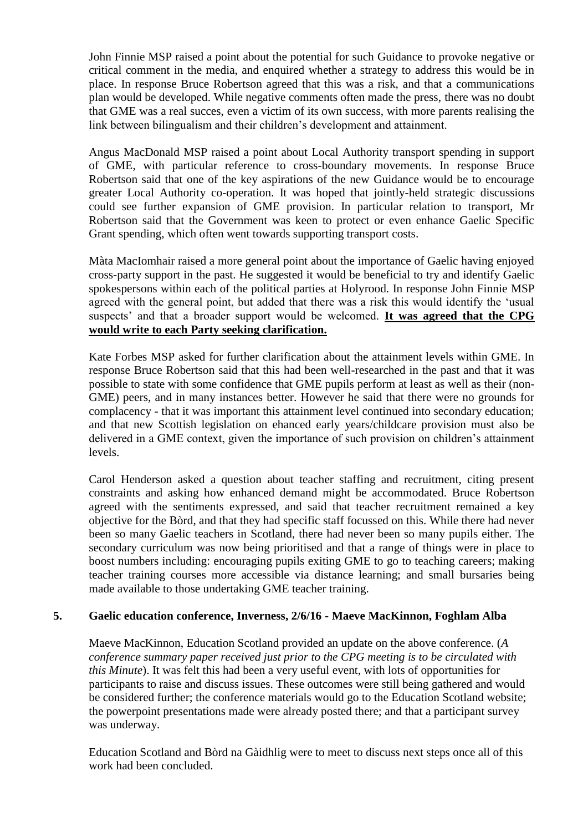John Finnie MSP raised a point about the potential for such Guidance to provoke negative or critical comment in the media, and enquired whether a strategy to address this would be in place. In response Bruce Robertson agreed that this was a risk, and that a communications plan would be developed. While negative comments often made the press, there was no doubt that GME was a real succes, even a victim of its own success, with more parents realising the link between bilingualism and their children's development and attainment.

Angus MacDonald MSP raised a point about Local Authority transport spending in support of GME, with particular reference to cross-boundary movements. In response Bruce Robertson said that one of the key aspirations of the new Guidance would be to encourage greater Local Authority co-operation. It was hoped that jointly-held strategic discussions could see further expansion of GME provision. In particular relation to transport, Mr Robertson said that the Government was keen to protect or even enhance Gaelic Specific Grant spending, which often went towards supporting transport costs.

Màta MacIomhair raised a more general point about the importance of Gaelic having enjoyed cross-party support in the past. He suggested it would be beneficial to try and identify Gaelic spokespersons within each of the political parties at Holyrood. In response John Finnie MSP agreed with the general point, but added that there was a risk this would identify the 'usual suspects' and that a broader support would be welcomed. **It was agreed that the CPG would write to each Party seeking clarification.**

Kate Forbes MSP asked for further clarification about the attainment levels within GME. In response Bruce Robertson said that this had been well-researched in the past and that it was possible to state with some confidence that GME pupils perform at least as well as their (non-GME) peers, and in many instances better. However he said that there were no grounds for complacency - that it was important this attainment level continued into secondary education; and that new Scottish legislation on ehanced early years/childcare provision must also be delivered in a GME context, given the importance of such provision on children's attainment levels.

Carol Henderson asked a question about teacher staffing and recruitment, citing present constraints and asking how enhanced demand might be accommodated. Bruce Robertson agreed with the sentiments expressed, and said that teacher recruitment remained a key objective for the Bòrd, and that they had specific staff focussed on this. While there had never been so many Gaelic teachers in Scotland, there had never been so many pupils either. The secondary curriculum was now being prioritised and that a range of things were in place to boost numbers including: encouraging pupils exiting GME to go to teaching careers; making teacher training courses more accessible via distance learning; and small bursaries being made available to those undertaking GME teacher training.

# **5. Gaelic education conference, Inverness, 2/6/16 - Maeve MacKinnon, Foghlam Alba**

Maeve MacKinnon, Education Scotland provided an update on the above conference. (*A conference summary paper received just prior to the CPG meeting is to be circulated with this Minute*). It was felt this had been a very useful event, with lots of opportunities for participants to raise and discuss issues. These outcomes were still being gathered and would be considered further; the conference materials would go to the Education Scotland website; the powerpoint presentations made were already posted there; and that a participant survey was underway.

Education Scotland and Bòrd na Gàidhlig were to meet to discuss next steps once all of this work had been concluded.